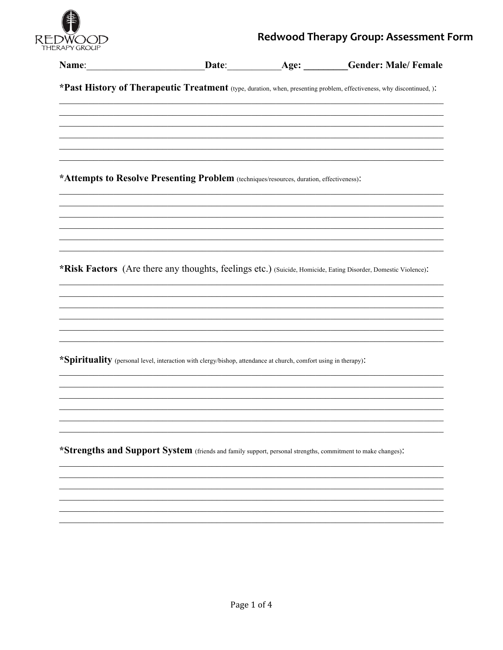

## Redwood Therapy Group: Assessment Form

| Name:                                                                                    | Date:                                                                                                           | Age: | <b>Gender: Male/Female</b>                                                                                            |
|------------------------------------------------------------------------------------------|-----------------------------------------------------------------------------------------------------------------|------|-----------------------------------------------------------------------------------------------------------------------|
|                                                                                          |                                                                                                                 |      | *Past History of Therapeutic Treatment (type, duration, when, presenting problem, effectiveness, why discontinued, ): |
|                                                                                          |                                                                                                                 |      |                                                                                                                       |
|                                                                                          |                                                                                                                 |      |                                                                                                                       |
| *Attempts to Resolve Presenting Problem (techniques/resources, duration, effectiveness): |                                                                                                                 |      |                                                                                                                       |
|                                                                                          |                                                                                                                 |      |                                                                                                                       |
|                                                                                          |                                                                                                                 |      |                                                                                                                       |
|                                                                                          |                                                                                                                 |      | *Risk Factors (Are there any thoughts, feelings etc.) (Suicide, Homicide, Eating Disorder, Domestic Violence).        |
|                                                                                          |                                                                                                                 |      |                                                                                                                       |
|                                                                                          |                                                                                                                 |      |                                                                                                                       |
|                                                                                          | *Spirituality (personal level, interaction with clergy/bishop, attendance at church, comfort using in therapy). |      |                                                                                                                       |
|                                                                                          |                                                                                                                 |      |                                                                                                                       |
|                                                                                          |                                                                                                                 |      |                                                                                                                       |
|                                                                                          | *Strengths and Support System (friends and family support, personal strengths, commitment to make changes):     |      |                                                                                                                       |
|                                                                                          |                                                                                                                 |      |                                                                                                                       |
|                                                                                          |                                                                                                                 |      |                                                                                                                       |
|                                                                                          |                                                                                                                 |      |                                                                                                                       |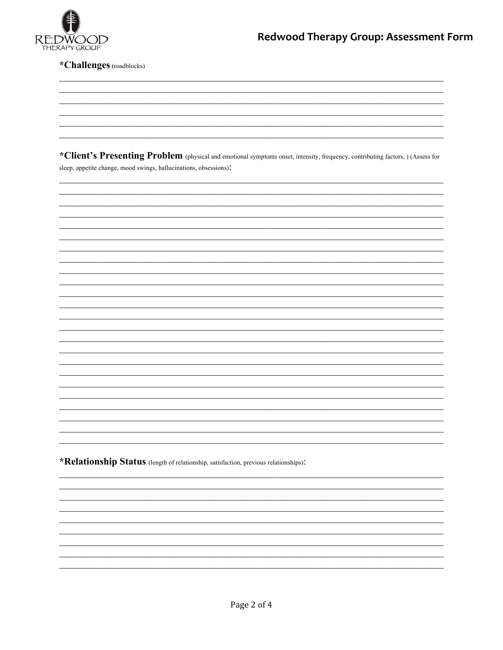

\*Challenges (roadblocks)

\*Client's Presenting Problem (physical and emotional symptoms onset, intensity, frequency, contributing factors, ) (Assess for sleep, appetite change, mood swings, hallucinations, obsessions).

\*Relationship Status (length of relationship, satisfaction, previous relationships):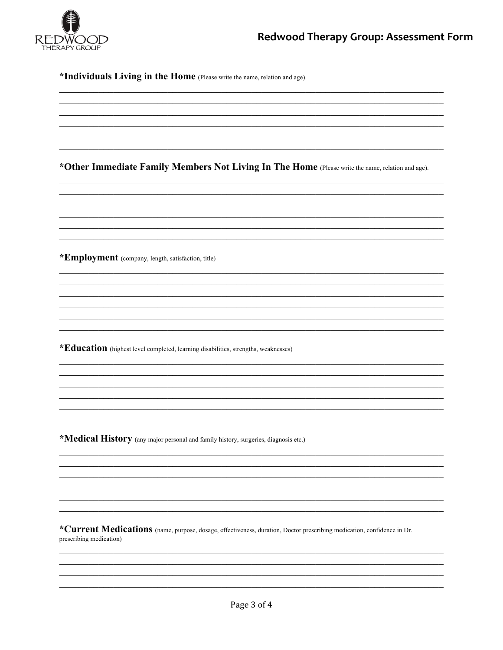

\*Individuals Living in the Home (Please write the name, relation and age).

\*Other Immediate Family Members Not Living In The Home (Please write the name, relation and age).

\*Employment (company, length, satisfaction, title)

\*Education (highest level completed, learning disabilities, strengths, weaknesses)

\*Medical History (any major personal and family history, surgeries, diagnosis etc.)

\*Current Medications (name, purpose, dosage, effectiveness, duration, Doctor prescribing medication, confidence in Dr. prescribing medication)